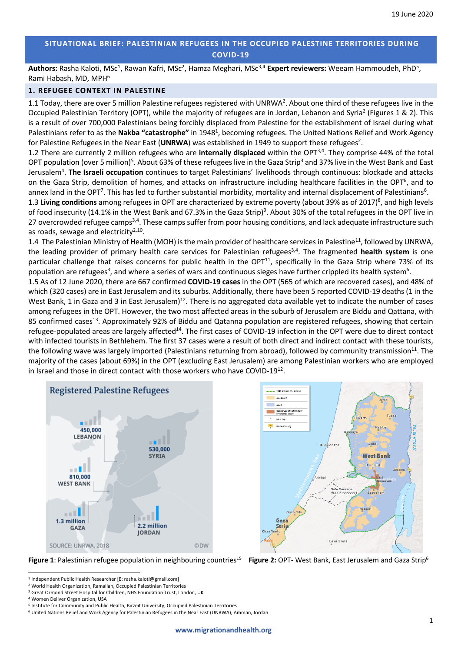# **SITUATIONAL BRIEF: PALESTINIAN REFUGEES IN THE OCCUPIED PALESTINE TERRITORIES DURING COVID-19**

Authors: Rasha Kaloti, MSc<sup>1</sup>, Rawan Kafri, MSc<sup>2</sup>, Hamza Meghari, MSc<sup>3,4</sup> Expert reviewers: Weeam Hammoudeh, PhD<sup>5</sup>, Rami Habash, MD, MPH6

# **1. REFUGEE CONTEXT IN PALESTINE**

1.1 Today, there are over 5 million Palestine refugees registered with UNRWA<sup>2</sup>. About one third of these refugees live in the Occupied Palestinian Territory (OPT), while the majority of refugees are in Jordan, Lebanon and Syria<sup>2</sup> (Figures 1 & 2). This is a result of over 700,000 Palestinians being forcibly displaced from Palestine for the establishment of Israel during what Palestinians refer to as the Nakba "catastrophe" in 1948<sup>1</sup>, becoming refugees. The United Nations Relief and Work Agency for Palestine Refugees in the Near East (UNRWA) was established in 1949 to support these refugees<sup>2</sup>.

1.2 There are currently 2 million refugees who are **internally displaced** within the OPT3,4. They comprise 44% of the total OPT population (over 5 million)<sup>5</sup>. About 63% of these refugees live in the Gaza Strip<sup>3</sup> and 37% live in the West Bank and East Jerusalem<sup>4</sup>. The Israeli occupation continues to target Palestinians' livelihoods through continuous: blockade and attacks on the Gaza Strip, demolition of homes, and attacks on infrastructure including healthcare facilities in the OPT<sup>6</sup>, and to annex land in the OPT<sup>7</sup>. This has led to further substantial morbidity, mortality and internal displacement of Palestinians<sup>6</sup>.

1.3 Living conditions among refugees in OPT are characterized by extreme poverty (about 39% as of 2017)<sup>8</sup>, and high levels of food insecurity (14.1% in the West Bank and 67.3% in the Gaza Strip)<sup>9</sup>. About 30% of the total refugees in the OPT live in 27 overcrowded refugee camps<sup>3,4</sup>. These camps suffer from poor housing conditions, and lack adequate infrastructure such as roads, sewage and electricity $2,10$ .

1.4 The Palestinian Ministry of Health (MOH) is the main provider of healthcare services in Palestine<sup>11</sup>, followed by UNRWA, the leading provider of primary health care services for Palestinian refugees3,4. The fragmented **health system** is one particular challenge that raises concerns for public health in the OPT $^{11}$ , specifically in the Gaza Strip where 73% of its population are refugees<sup>3</sup>, and where a series of wars and continuous sieges have further crippled its health system<sup>6</sup>.

1.5 As of 12 June 2020, there are 667 confirmed **COVID-19 cases** in the OPT (565 of which are recovered cases), and 48% of which (320 cases) are in East Jerusalem and its suburbs. Additionally, there have been 5 reported COVID-19 deaths (1 in the West Bank, 1 in Gaza and 3 in East Jerusalem)<sup>12</sup>. There is no aggregated data available yet to indicate the number of cases among refugees in the OPT. However, the two most affected areas in the suburb of Jerusalem are Biddu and Qattana, with 85 confirmed cases<sup>13</sup>. Approximately 92% of Biddu and Qatanna population are registered refugees, showing that certain refugee-populated areas are largely affected14. The first cases of COVID-19 infection in the OPT were due to direct contact with infected tourists in Bethlehem. The first 37 cases were a result of both direct and indirect contact with these tourists, the following wave was largely imported (Palestinians returning from abroad), followed by community transmission $^{11}$ . The majority of the cases (about 69%) in the OPT (excluding East Jerusalem) are among Palestinian workers who are employed in Israel and those in direct contact with those workers who have COVID-1912.

> .<br>Ana Aerd E  $\overline{\phantom{a}}$  and





Figure 1: Palestinian refugee population in neighbouring countries<sup>15</sup>

**Figure 2: OPT- West Bank, East Jerusalem and Gaza Strip<sup>6</sup>** 

<sup>1</sup> Independent Public Health Researcher [E: rasha.kaloti@gmail.com]

<sup>&</sup>lt;sup>2</sup> World Health Organization, Ramallah, Occupied Palestinian Territories 3 Great Ormond Street Hospital for Children, NHS Foundation Trust, London, UK 4 Women Deliver Organization, USA

<sup>5</sup> Institute for Community and Public Health, Birzeit University, Occupied Palestinian Territories

<sup>6</sup> United Nations Relief and Work Agency for Palestinian Refugees in the Near East (UNRWA), Amman, Jordan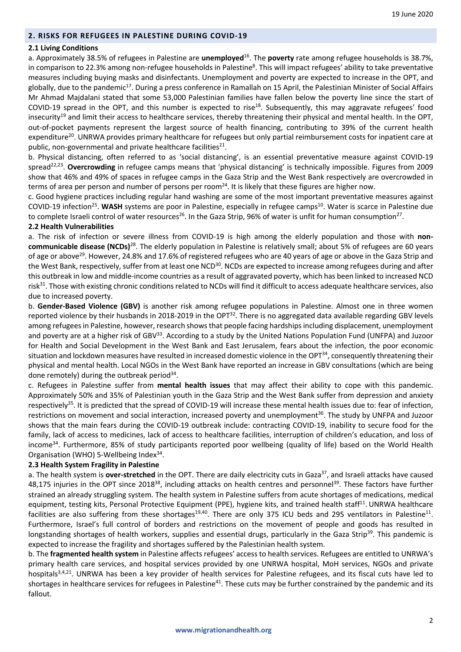# **2. RISKS FOR REFUGEES IN PALESTINE DURING COVID-19**

# **2.1 Living Conditions**

a. Approximately 38.5% of refugees in Palestine are **unemployed**<sup>16</sup> . The **poverty** rate among refugee households is 38.7%, in comparison to 22.3% among non-refugee households in Palestine<sup>8</sup>. This will impact refugees' ability to take preventative measures including buying masks and disinfectants. Unemployment and poverty are expected to increase in the OPT, and globally, due to the pandemic<sup>17</sup>. During a press conference in Ramallah on 15 April, the Palestinian Minister of Social Affairs Mr Ahmad Majdalani stated that some 53,000 Palestinian families have fallen below the poverty line since the start of COVID-19 spread in the OPT, and this number is expected to rise<sup>18</sup>. Subsequently, this may aggravate refugees' food insecurity<sup>19</sup> and limit their access to healthcare services, thereby threatening their physical and mental health. In the OPT, out-of-pocket payments represent the largest source of health financing, contributing to 39% of the current health expenditure<sup>20</sup>. UNRWA provides primary healthcare for refugees but only partial reimbursement costs for inpatient care at public, non-governmental and private healthcare facilities $21$ .

b. Physical distancing, often referred to as 'social distancing', is an essential preventative measure against COVID-19 spread<sup>22,23</sup>. Overcrowding in refugee camps means that 'physical distancing' is technically impossible. Figures from 2009 show that 46% and 49% of spaces in refugee camps in the Gaza Strip and the West Bank respectively are overcrowded in terms of area per person and number of persons per room<sup>24</sup>. It is likely that these figures are higher now.

c. Good hygiene practices including regular hand washing are some of the most important preventative measures against COVID-19 infection<sup>25</sup>. WASH systems are poor in Palestine, especially in refugee camps<sup>10</sup>. Water is scarce in Palestine due to complete Israeli control of water resources<sup>26</sup>. In the Gaza Strip, 96% of water is unfit for human consumption<sup>27</sup>.

# **2.2 Health Vulnerabilities**

a. The risk of infection or severe illness from COVID-19 is high among the elderly population and those with **non**communicable disease (NCDs)<sup>28</sup>. The elderly population in Palestine is relatively small; about 5% of refugees are 60 years of age or above<sup>29</sup>. However, 24.8% and 17.6% of registered refugees who are 40 years of age or above in the Gaza Strip and the West Bank, respectively, suffer from at least one NCD<sup>30</sup>. NCDs are expected to increase among refugees during and after this outbreak in low and middle-income countries as a result of aggravated poverty, which has been linked to increased NCD risk31. Those with existing chronic conditions related to NCDs will find it difficult to access adequate healthcare services, also due to increased poverty.

b. **Gender-Based Violence (GBV)** is another risk among refugee populations in Palestine. Almost one in three women reported violence by their husbands in 2018-2019 in the OPT<sup>32</sup>. There is no aggregated data available regarding GBV levels among refugees in Palestine, however, research shows that people facing hardships including displacement, unemployment and poverty are at a higher risk of GBV<sup>33</sup>. According to a study by the United Nations Population Fund (UNFPA) and Juzoor for Health and Social Development in the West Bank and East Jerusalem, fears about the infection, the poor economic situation and lockdown measures have resulted in increased domestic violence in the OPT<sup>34</sup>, consequently threatening their physical and mental health. Local NGOs in the West Bank have reported an increase in GBV consultations (which are being done remotely) during the outbreak period<sup>34</sup>.

c. Refugees in Palestine suffer from **mental health issues** that may affect their ability to cope with this pandemic. Approximately 50% and 35% of Palestinian youth in the Gaza Strip and the West Bank suffer from depression and anxiety respectively<sup>35</sup>. It is predicted that the spread of COVID-19 will increase these mental health issues due to: fear of infection, restrictions on movement and social interaction, increased poverty and unemployment<sup>36</sup>. The study by UNFPA and Juzoor shows that the main fears during the COVID-19 outbreak include: contracting COVID-19, inability to secure food for the family, lack of access to medicines, lack of access to healthcare facilities, interruption of children's education, and loss of income<sup>34</sup>. Furthermore, 85% of study participants reported poor wellbeing (quality of life) based on the World Health Organisation (WHO) 5-Wellbeing Index<sup>34</sup>.

# **2.3 Health System Fragility in Palestine**

a. The health system is **over-stretched** in the OPT. There are daily electricity cuts in Gaza<sup>37</sup>, and Israeli attacks have caused 48,175 injuries in the OPT since 2018<sup>38</sup>, including attacks on health centres and personnel<sup>39</sup>. These factors have further strained an already struggling system. The health system in Palestine suffers from acute shortages of medications, medical equipment, testing kits, Personal Protective Equipment (PPE), hygiene kits, and trained health staff<sup>11</sup>. UNRWA healthcare facilities are also suffering from these shortages<sup>19,40</sup>. There are only 375 ICU beds and 295 ventilators in Palestine<sup>11</sup>. Furthermore, Israel's full control of borders and restrictions on the movement of people and goods has resulted in longstanding shortages of health workers, supplies and essential drugs, particularly in the Gaza Strip<sup>39</sup>. This pandemic is expected to increase the fragility and shortages suffered by the Palestinian health system.

b. The **fragmented health system** in Palestine affects refugees' access to health services. Refugees are entitled to UNRWA's primary health care services, and hospital services provided by one UNRWA hospital, MoH services, NGOs and private hospitals<sup>3,4,21</sup>. UNRWA has been a key provider of health services for Palestine refugees, and its fiscal cuts have led to shortages in healthcare services for refugees in Palestine<sup>41</sup>. These cuts may be further constrained by the pandemic and its fallout.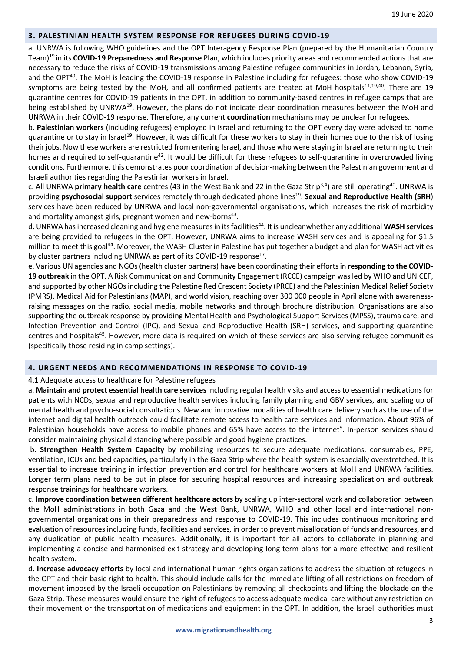#### **3. PALESTINIAN HEALTH SYSTEM RESPONSE FOR REFUGEES DURING COVID-19**

a. UNRWA is following WHO guidelines and the OPT Interagency Response Plan (prepared by the Humanitarian Country Team)19 in its **COVID-19 Preparedness and Response** Plan, which includes priority areas and recommended actions that are necessary to reduce the risks of COVID-19 transmissions among Palestine refugee communities in Jordan, Lebanon, Syria, and the OPT<sup>40</sup>. The MoH is leading the COVID-19 response in Palestine including for refugees: those who show COVID-19 symptoms are being tested by the MoH, and all confirmed patients are treated at MoH hospitals<sup>11,19,40</sup>. There are 19 quarantine centres for COVID-19 patients in the OPT, in addition to community-based centres in refugee camps that are being established by UNRWA<sup>19</sup>. However, the plans do not indicate clear coordination measures between the MoH and UNRWA in their COVID-19 response. Therefore, any current **coordination** mechanisms may be unclear for refugees.

b. **Palestinian workers** (including refugees) employed in Israel and returning to the OPT every day were advised to home quarantine or to stay in Israel<sup>19</sup>. However, it was difficult for these workers to stay in their homes due to the risk of losing their jobs. Now these workers are restricted from entering Israel, and those who were staying in Israel are returning to their homes and required to self-quarantine<sup>42</sup>. It would be difficult for these refugees to self-quarantine in overcrowded living conditions. Furthermore, this demonstrates poor coordination of decision-making between the Palestinian government and Israeli authorities regarding the Palestinian workers in Israel.

c. All UNRWA **primary health care** centres (43 in the West Bank and 22 in the Gaza Strip3,4) are still operating40. UNRWA is providing **psychosocial support** services remotely through dedicated phone lines19 . **Sexual and Reproductive Health (SRH**) services have been reduced by UNRWA and local non-governmental organisations, which increases the risk of morbidity and mortality amongst girls, pregnant women and new-borns<sup>43</sup>.

d. UNRWA has increased cleaning and hygiene measures in its facilities<sup>44</sup>. It is unclear whether any additional WASH services are being provided to refugees in the OPT. However, UNRWA aims to increase WASH services and is appealing for \$1.5 million to meet this goal<sup>44</sup>. Moreover, the WASH Cluster in Palestine has put together a budget and plan for WASH activities by cluster partners including UNRWA as part of its COVID-19 response<sup>17</sup>.

e. Various UN agencies and NGOs (health cluster partners) have been coordinating their efforts in **responding to the COVID-19 outbreak** in the OPT. A Risk Communication and Community Engagement (RCCE) campaign was led by WHO and UNICEF, and supported by other NGOs including the Palestine Red Crescent Society (PRCE) and the Palestinian Medical Relief Society (PMRS), Medical Aid for Palestinians (MAP), and world vision, reaching over 300 000 people in April alone with awarenessraising messages on the radio, social media, mobile networks and through brochure distribution. Organisations are also supporting the outbreak response by providing Mental Health and Psychological Support Services (MPSS), trauma care, and Infection Prevention and Control (IPC), and Sexual and Reproductive Health (SRH) services, and supporting quarantine centres and hospitals<sup>45</sup>. However, more data is required on which of these services are also serving refugee communities (specifically those residing in camp settings).

# **4. URGENT NEEDS AND RECOMMENDATIONS IN RESPONSE TO COVID-19**

# 4.1 Adequate access to healthcare for Palestine refugees

a. **Maintain and protect essential health care services**including regular health visits and access to essential medications for patients with NCDs, sexual and reproductive health services including family planning and GBV services, and scaling up of mental health and psycho-social consultations. New and innovative modalities of health care delivery such as the use of the internet and digital health outreach could facilitate remote access to health care services and information. About 96% of Palestinian households have access to mobile phones and 65% have access to the internet<sup>5</sup>. In-person services should consider maintaining physical distancing where possible and good hygiene practices.

b. **Strengthen Health System Capacity** by mobilizing resources to secure adequate medications, consumables, PPE, ventilation, ICUs and bed capacities, particularly in the Gaza Strip where the health system is especially overstretched. It is essential to increase training in infection prevention and control for healthcare workers at MoH and UNRWA facilities. Longer term plans need to be put in place for securing hospital resources and increasing specialization and outbreak response trainings for healthcare workers.

c. **Improve coordination between different healthcare actors** by scaling up inter-sectoral work and collaboration between the MoH administrations in both Gaza and the West Bank, UNRWA, WHO and other local and international nongovernmental organizations in their preparedness and response to COVID-19. This includes continuous monitoring and evaluation of resources including funds, facilities and services, in order to prevent misallocation of funds and resources, and any duplication of public health measures. Additionally, it is important for all actors to collaborate in planning and implementing a concise and harmonised exit strategy and developing long-term plans for a more effective and resilient health system.

d. **Increase advocacy efforts** by local and international human rights organizations to address the situation of refugees in the OPT and their basic right to health. This should include calls for the immediate lifting of all restrictions on freedom of movement imposed by the Israeli occupation on Palestinians by removing all checkpoints and lifting the blockade on the Gaza-Strip. These measures would ensure the right of refugees to access adequate medical care without any restriction on their movement or the transportation of medications and equipment in the OPT. In addition, the Israeli authorities must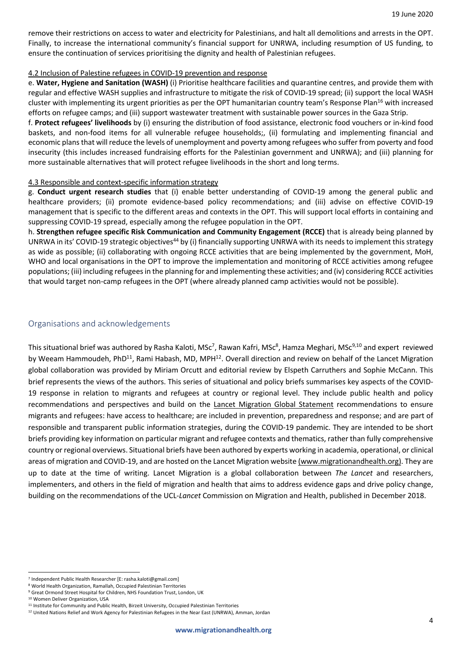remove their restrictions on access to water and electricity for Palestinians, and halt all demolitions and arrests in the OPT. Finally, to increase the international community's financial support for UNRWA, including resumption of US funding, to ensure the continuation of services prioritising the dignity and health of Palestinian refugees.

# 4.2 Inclusion of Palestine refugees in COVID-19 prevention and response

e. **Water, Hygiene and Sanitation (WASH)** (i) Prioritise healthcare facilities and quarantine centres, and provide them with regular and effective WASH supplies and infrastructure to mitigate the risk of COVID-19 spread; (ii) support the local WASH cluster with implementing its urgent priorities as per the OPT humanitarian country team's Response Plan<sup>16</sup> with increased efforts on refugee camps; and (iii) support wastewater treatment with sustainable power sources in the Gaza Strip.

f. **Protect refugees' livelihoods** by (i) ensuring the distribution of food assistance, electronic food vouchers or in-kind food baskets, and non-food items for all vulnerable refugee households;, (ii) formulating and implementing financial and economic plans that will reduce the levels of unemployment and poverty among refugees who suffer from poverty and food insecurity (this includes increased fundraising efforts for the Palestinian government and UNRWA); and (iii) planning for more sustainable alternatives that will protect refugee livelihoods in the short and long terms.

#### 4.3 Responsible and context-specific information strategy

g. **Conduct urgent research studies** that (i) enable better understanding of COVID-19 among the general public and healthcare providers; (ii) promote evidence-based policy recommendations; and (iii) advise on effective COVID-19 management that is specific to the different areas and contexts in the OPT. This will support local efforts in containing and suppressing COVID-19 spread, especially among the refugee population in the OPT.

h. **Strengthen refugee specific Risk Communication and Community Engagement (RCCE)** that is already being planned by UNRWA in its' COVID-19 strategic objectives<sup>44</sup> by (i) financially supporting UNRWA with its needs to implement this strategy as wide as possible; (ii) collaborating with ongoing RCCE activities that are being implemented by the government, MoH, WHO and local organisations in the OPT to improve the implementation and monitoring of RCCE activities among refugee populations; (iii) including refugees in the planning for and implementing these activities; and (iv) considering RCCE activities that would target non-camp refugees in the OPT (where already planned camp activities would not be possible).

# Organisations and acknowledgements

This situational brief was authored by Rasha Kaloti, MSc<sup>7</sup>, Rawan Kafri, MSc<sup>8</sup>, Hamza Meghari, MSc<sup>9,10</sup> and expert reviewed by Weeam Hammoudeh, PhD<sup>11</sup>, Rami Habash, MD, MPH<sup>12</sup>. Overall direction and review on behalf of the Lancet Migration global collaboration was provided by Miriam Orcutt and editorial review by Elspeth Carruthers and Sophie McCann. This brief represents the views of the authors. This series of situational and policy briefs summarises key aspects of the COVID-19 response in relation to migrants and refugees at country or regional level. They include public health and policy recommendations and perspectives and build on the Lancet Migration Global Statement recommendations to ensure migrants and refugees: have access to healthcare; are included in prevention, preparedness and response; and are part of responsible and transparent public information strategies, during the COVID-19 pandemic. They are intended to be short briefs providing key information on particular migrant and refugee contexts and thematics, rather than fully comprehensive country or regional overviews. Situational briefs have been authored by experts working in academia, operational, or clinical areas of migration and COVID-19, and are hosted on the Lancet Migration website (www.migrationandhealth.org). They are up to date at the time of writing. Lancet Migration is a global collaboration between *The Lancet* and researchers, implementers, and others in the field of migration and health that aims to address evidence gaps and drive policy change, building on the recommendations of the UCL-*Lancet* Commission on Migration and Health, published in December 2018.

<sup>7</sup> Independent Public Health Researcher [E: rasha.kaloti@gmail.com]

<sup>&</sup>lt;sup>8</sup> World Health Organization, Ramallah, Occupied Palestinian Territories<br><sup>9</sup> Great Ormond Street Hospital for Children, NHS Foundation Trust, London, UK<br><sup>10</sup> Women Deliver Organization, USA

<sup>11</sup> Institute for Community and Public Health, Birzeit University, Occupied Palestinian Territories

<sup>12</sup> United Nations Relief and Work Agency for Palestinian Refugees in the Near East (UNRWA), Amman, Jordan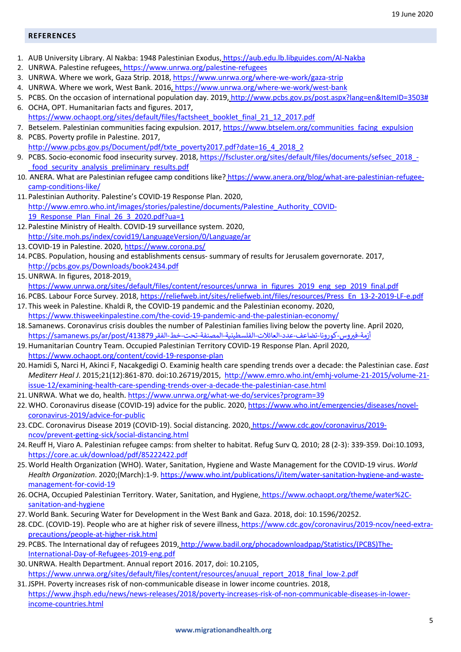#### **REFERENCES**

- 1. AUB University Library. Al Nakba: 1948 Palestinian Exodus, https://aub.edu.lb.libguides.com/Al-Nakba
- 2. UNRWA. Palestine refugees, https://www.unrwa.org/palestine-refugees
- 3. UNRWA. Where we work, Gaza Strip. 2018, https://www.unrwa.org/where-we-work/gaza-strip
- 4. UNRWA. Where we work, West Bank. 2016, https://www.unrwa.org/where-we-work/west-bank
- 5. PCBS. On the occasion of international population day. 2019, http://www.pcbs.gov.ps/post.aspx?lang=en&ItemID=3503#
- 6. OCHA, OPT. Humanitarian facts and figures. 2017, https://www.ochaopt.org/sites/default/files/factsheet\_booklet\_final\_21\_12\_2017.pdf
- 7. Betselem. Palestinian communities facing expulsion. 2017, https://www.btselem.org/communities facing expulsion
- 8. PCBS. Poverty profile in Palestine. 2017, http://www.pcbs.gov.ps/Document/pdf/txte\_poverty2017.pdf?date=16\_4\_2018\_2
- 9. PCBS. Socio-economic food insecurity survey. 2018, https://fscluster.org/sites/default/files/documents/sefsec\_2018\_food security analysis preliminary results.pdf
- 10. ANERA. What are Palestinian refugee camp conditions like? https://www.anera.org/blog/what-are-palestinian-refugeecamp-conditions-like/
- 11. Palestinian Authority. Palestine's COVID-19 Response Plan. 2020, http://www.emro.who.int/images/stories/palestine/documents/Palestine\_Authority\_COVID-19 Response Plan Final 26 3 2020.pdf?ua=1
- 12. Palestine Ministry of Health. COVID-19 surveillance system. 2020, http://site.moh.ps/index/covid19/LanguageVersion/0/Language/ar
- 13. COVID-19 in Palestine. 2020, https://www.corona.ps/
- 14. PCBS. Population, housing and establishments census- summary of results for Jerusalem governorate. 2017, http://pcbs.gov.ps/Downloads/book2434.pdf
- 15.UNRWA. In figures, 2018-2019. https://www.unrwa.org/sites/default/files/content/resources/unrwa\_in\_figures\_2019\_eng\_sep\_2019\_final.pdf
- 16. PCBS. Labour Force Survey. 2018, https://reliefweb.int/sites/reliefweb.int/files/resources/Press\_En\_13-2-2019-LF-e.pdf
- 17. This week in Palestine. Khaldi R, the COVID-19 pandemic and the Palestinian economy. 2020, https://www.thisweekinpalestine.com/the-covid-19-pandemic-and-the-palestinian-economy/
- 18. Samanews. Coronavirus crisis doubles the number of Palestinian families living below the poverty line. April 2020, أزمة-فيروس- كورونا-تضاعف-عدد-العائلات-الفلسطينية-المصنفة-تحت-خط-الفقر https://samanews.ps/ar/post/413879
- 19.Humanitarian Country Team. Occupied Palestinian Territory COVID-19 Response Plan. April 2020, https://www.ochaopt.org/content/covid-19-response-plan
- 20.Hamidi S, Narci H, Akinci F, Nacakgedigi O. Examinig health care spending trends over a decade: the Palestinian case. *East Mediterr Heal J*. 2015;21(12):861-870. doi:10.26719/2015, http://www.emro.who.int/emhj-volume-21-2015/volume-21 issue-12/examining-health-care-spending-trends-over-a-decade-the-palestinian-case.html
- 21. UNRWA. What we do, health. https://www.unrwa.org/what-we-do/services?program=39
- 22. WHO. Coronavirus disease (COVID-19) advice for the public. 2020, https://www.who.int/emergencies/diseases/novelcoronavirus-2019/advice-for-public
- 23. CDC. Coronavirus Disease 2019 (COVID-19). Social distancing. 2020, https://www.cdc.gov/coronavirus/2019 ncov/prevent-getting-sick/social-distancing.html
- 24. Reuff H, Viaro A. Palestinian refugee camps: from shelter to habitat. Refug Surv Q. 2010; 28 (2-3): 339-359. Doi:10.1093, https://core.ac.uk/download/pdf/85222422.pdf
- 25.World Health Organization (WHO). Water, Sanitation, Hygiene and Waste Management for the COVID-19 virus. *World Health Organization*. 2020;(March):1-9. https://www.who.int/publications/i/item/water-sanitation-hygiene-and-wastemanagement-for-covid-19
- 26. OCHA, Occupied Palestinian Territory. Water, Sanitation, and Hygiene, https://www.ochaopt.org/theme/water%2Csanitation-and-hygiene
- 27.World Bank. Securing Water for Development in the West Bank and Gaza. 2018, doi: 10.1596/20252.
- 28. CDC. (COVID-19). People who are at higher risk of severe illness, https://www.cdc.gov/coronavirus/2019-ncov/need-extraprecautions/people-at-higher-risk.html
- 29. PCBS. The International day of refugees 2019, http://www.badil.org/phocadownloadpap/Statistics/(PCBS)The-International-Day-of-Refugees-2019-eng.pdf
- 30.UNRWA. Health Department. Annual report 2016. 2017, doi: 10.2105, https://www.unrwa.org/sites/default/files/content/resources/anuual\_report\_2018\_final\_low-2.pdf
- 31.JSPH. Poverty increases risk of non-communicable disease in lower income countries. 2018, https://www.jhsph.edu/news/news-releases/2018/poverty-increases-risk-of-non-communicable-diseases-in-lowerincome-countries.html